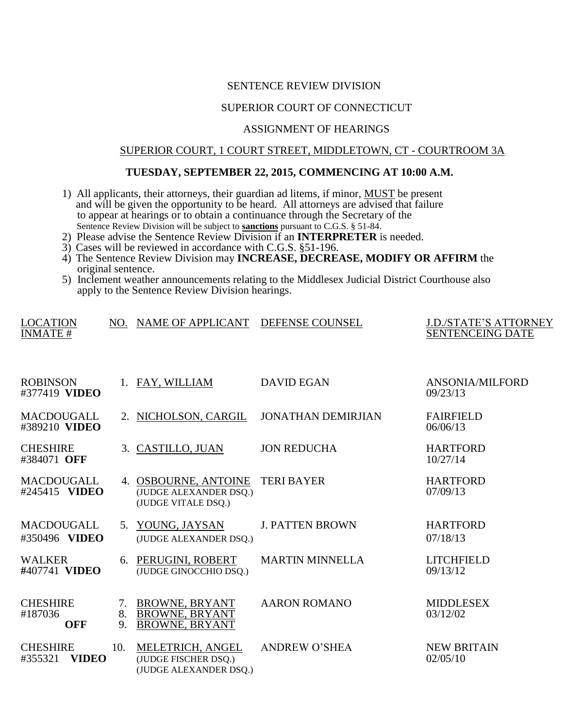# SENTENCE REVIEW DIVISION

# SUPERIOR COURT OF CONNECTICUT

### ASSIGNMENT OF HEARINGS

#### SUPERIOR COURT, 1 COURT STREET, MIDDLETOWN, CT - COURTROOM 3A

### **TUESDAY, SEPTEMBER 22, 2015, COMMENCING AT 10:00 A.M.**

- 1) All applicants, their attorneys, their guardian ad litems, if minor, MUST be present and will be given the opportunity to be heard. All attorneys are advised that failure to appear at hearings or to obtain a continuance through the Secretary of the Sentence Review Division will be subject to **sanctions** pursuant to C.G.S. § 51-84.
- 2) Please advise the Sentence Review Division if an **INTERPRETER** is needed.
- 3) Cases will be reviewed in accordance with C.G.S. §51-196.
- 4) The Sentence Review Division may **INCREASE, DECREASE, MODIFY OR AFFIRM** the original sentence.
- 5) Inclement weather announcements relating to the Middlesex Judicial District Courthouse also apply to the Sentence Review Division hearings.

| <b>LOCATION</b><br>$\overline{\text{INMATE}}$ # |                | NO. NAME OF APPLICANT                                                   | DEFENSE COUNSEL           | <b>J.D./STATE'S ATTORNEY</b><br><b>SENTENCEING DATE</b> |
|-------------------------------------------------|----------------|-------------------------------------------------------------------------|---------------------------|---------------------------------------------------------|
| <b>ROBINSON</b><br>#377419 VIDEO                |                | 1. FAY, WILLIAM                                                         | <b>DAVID EGAN</b>         | <b>ANSONIA/MILFORD</b><br>09/23/13                      |
| <b>MACDOUGALL</b><br>#389210 VIDEO              |                | 2. NICHOLSON, CARGIL                                                    | <b>JONATHAN DEMIRJIAN</b> | <b>FAIRFIELD</b><br>06/06/13                            |
| <b>CHESHIRE</b><br>#384071 OFF                  |                | 3. CASTILLO, JUAN                                                       | <b>JON REDUCHA</b>        | <b>HARTFORD</b><br>10/27/14                             |
| <b>MACDOUGALL</b><br>#245415 VIDEO              |                | 4. OSBOURNE, ANTOINE<br>(JUDGE ALEXANDER DSQ.)<br>(JUDGE VITALE DSQ.)   | <b>TERI BAYER</b>         | <b>HARTFORD</b><br>07/09/13                             |
| <b>MACDOUGALL</b><br>#350496 VIDEO              |                | 5. YOUNG, JAYSAN<br>(JUDGE ALEXANDER DSQ.)                              | <b>J. PATTEN BROWN</b>    | <b>HARTFORD</b><br>07/18/13                             |
| <b>WALKER</b><br>#407741 VIDEO                  |                | 6. PERUGINI, ROBERT<br>(JUDGE GINOCCHIO DSQ.)                           | <b>MARTIN MINNELLA</b>    | <b>LITCHFIELD</b><br>09/13/12                           |
| <b>CHESHIRE</b><br>#187036<br><b>OFF</b>        | 7.<br>8.<br>9. | <b>BROWNE, BRYANT</b><br><b>BROWNE, BRYANT</b><br><b>BROWNE, BRYANT</b> | <b>AARON ROMANO</b>       | <b>MIDDLESEX</b><br>03/12/02                            |
| <b>CHESHIRE</b><br>#355321<br><b>VIDEO</b>      | 10.            | MELETRICH, ANGEL<br>(JUDGE FISCHER DSQ.)<br>(JUDGE ALEXANDER DSQ.)      | <b>ANDREW O'SHEA</b>      | <b>NEW BRITAIN</b><br>02/05/10                          |